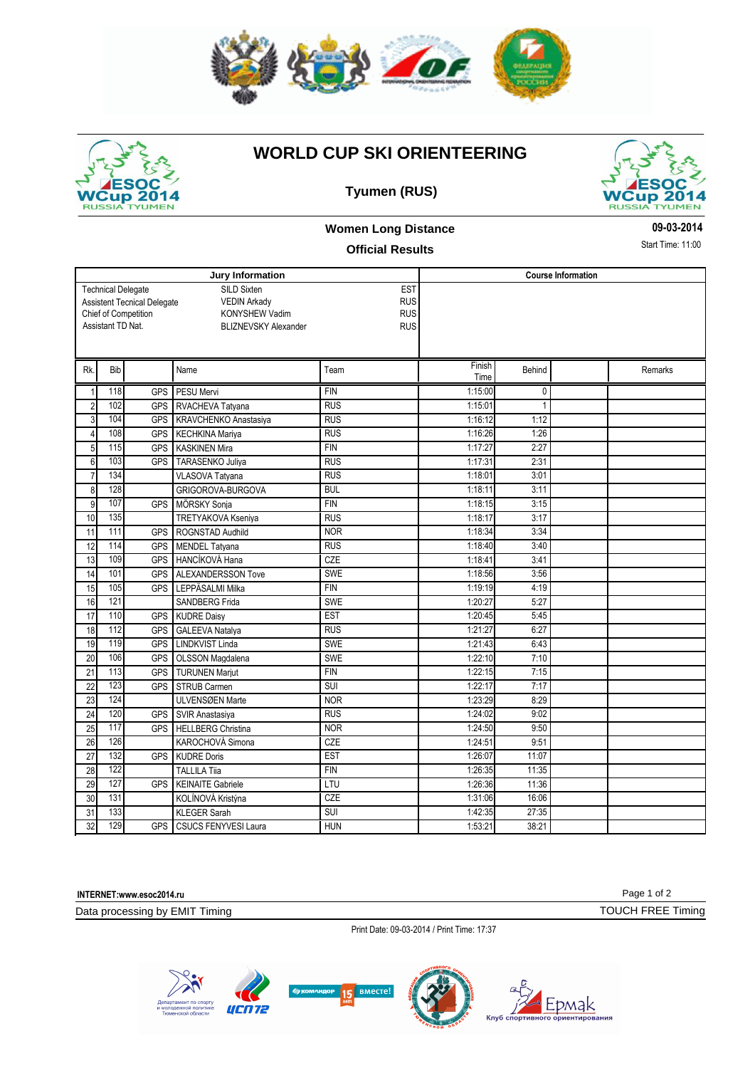



## **WORLD CUP SKI ORIENTEERING**





## **Women Long Distance**

## **Official Results**

**09-03-2014**

Start Time: 11:00

|                                                                                  |                   |            | Jury Information             |            | <b>Course Information</b> |       |         |  |  |
|----------------------------------------------------------------------------------|-------------------|------------|------------------------------|------------|---------------------------|-------|---------|--|--|
| <b>EST</b><br>SILD Sixten<br><b>Technical Delegate</b>                           |                   |            |                              |            |                           |       |         |  |  |
| <b>RUS</b><br><b>VEDIN Arkady</b><br><b>Assistent Tecnical Delegate</b>          |                   |            |                              |            |                           |       |         |  |  |
| <b>RUS</b><br>Chief of Competition<br><b>KONYSHEW Vadim</b><br>Assistant TD Nat. |                   |            |                              |            |                           |       |         |  |  |
|                                                                                  |                   |            | <b>BLIZNEVSKY Alexander</b>  | <b>RUS</b> |                           |       |         |  |  |
|                                                                                  |                   |            |                              |            |                           |       |         |  |  |
| Rk.                                                                              | <b>Bib</b>        |            | Name                         | Finish     | <b>Behind</b>             |       | Remarks |  |  |
|                                                                                  |                   |            |                              |            | Time                      |       |         |  |  |
| 1                                                                                | 118               | <b>GPS</b> | <b>PESU Mervi</b>            | FIN        | 1:15:00                   | 0     |         |  |  |
| $\overline{2}$                                                                   | 102               | <b>GPS</b> | RVACHEVA Tatyana             | RUS        | 1:15:01                   | 1     |         |  |  |
| 3                                                                                | 104               | <b>GPS</b> | <b>KRAVCHENKO Anastasiya</b> | <b>RUS</b> | 1:16:12                   | 1:12  |         |  |  |
| 4                                                                                | 108               | <b>GPS</b> | <b>KECHKINA Mariya</b>       | <b>RUS</b> | 1:16:26                   | 1:26  |         |  |  |
| 5                                                                                | 115               | <b>GPS</b> | <b>KASKINEN Mira</b>         | <b>FIN</b> | 1:17:27                   | 2:27  |         |  |  |
| 6                                                                                | 103               | <b>GPS</b> | <b>TARASENKO Juliya</b>      | <b>RUS</b> | 1:17:31                   | 2:31  |         |  |  |
| $\overline{7}$                                                                   | 134               |            | VLASOVA Tatyana              | <b>RUS</b> | 1:18:01                   | 3:01  |         |  |  |
| $\bf 8$                                                                          | 128               |            | GRIGOROVA-BURGOVA            | <b>BUL</b> | 1:18:11                   | 3:11  |         |  |  |
| 9                                                                                | 107               | <b>GPS</b> | MÖRSKY Sonja                 | <b>FIN</b> | 1:18:15                   | 3:15  |         |  |  |
| 10                                                                               | 135               |            | <b>TRETYAKOVA Kseniva</b>    | <b>RUS</b> | 1:18:17                   | 3:17  |         |  |  |
| 11                                                                               | 111               | <b>GPS</b> | ROGNSTAD Audhild             | <b>NOR</b> | 1:18:34                   | 3:34  |         |  |  |
| 12                                                                               | $\frac{114}{114}$ | <b>GPS</b> | <b>MENDEL Tatyana</b>        | <b>RUS</b> | 1:18:40                   | 3:40  |         |  |  |
| 13                                                                               | 109               | <b>GPS</b> | HANCÍKOVÁ Hana               | CZE        | 1:18:41                   | 3:41  |         |  |  |
| 14                                                                               | 101               | <b>GPS</b> | ALEXANDERSSON Tove           | <b>SWE</b> | 1:18:56                   | 3:56  |         |  |  |
| 15                                                                               | 105               | <b>GPS</b> | LEPPÄSALMI Milka             | <b>FIN</b> | 1:19:19                   | 4:19  |         |  |  |
| 16                                                                               | 121               |            | <b>SANDBERG Frida</b>        | <b>SWE</b> | 1:20:27                   | 5:27  |         |  |  |
| 17                                                                               | 110               | <b>GPS</b> | <b>KUDRE Daisy</b>           | <b>EST</b> | 1:20:45                   | 5:45  |         |  |  |
| 18                                                                               | 112               | <b>GPS</b> | <b>GALEEVA Natalya</b>       | <b>RUS</b> | 1:21:27                   | 6:27  |         |  |  |
| 19                                                                               | 119               | <b>GPS</b> | <b>LINDKVIST Linda</b>       | <b>SWE</b> | 1:21:43                   | 6:43  |         |  |  |
| 20                                                                               | 106               | <b>GPS</b> | <b>OLSSON Magdalena</b>      | <b>SWE</b> | 1:22:10                   | 7:10  |         |  |  |
| $\overline{21}$                                                                  | 113               | <b>GPS</b> | <b>TURUNEN Marjut</b>        | <b>FIN</b> | 1:22:15                   | 7:15  |         |  |  |
| 22                                                                               | 123               | <b>GPS</b> | <b>STRUB Carmen</b>          | SUI        | 1:22:17                   | 7:17  |         |  |  |
| 23                                                                               | 124               |            | ULVENSØEN Marte              | <b>NOR</b> | 1:23:29                   | 8:29  |         |  |  |
| 24                                                                               | 120               | <b>GPS</b> | SVIR Anastasiya              | <b>RUS</b> | 1:24:02                   | 9:02  |         |  |  |
| 25                                                                               | 117               | <b>GPS</b> | <b>HELLBERG Christina</b>    | <b>NOR</b> | 1:24:50                   | 9:50  |         |  |  |
| 26                                                                               | 126               |            | KAROCHOVÁ Simona             | CZE        | 1:24:51                   | 9:51  |         |  |  |
| 27                                                                               | 132               | <b>GPS</b> | <b>KUDRE Doris</b>           | <b>EST</b> | 1:26:07                   | 11:07 |         |  |  |
| 28                                                                               | 122               |            | <b>TALLILA Tija</b>          | <b>FIN</b> | 1:26:35                   | 11:35 |         |  |  |
| 29                                                                               | 127               | <b>GPS</b> | <b>KEINAITE Gabriele</b>     | LTU        | 1:26:36                   | 11:36 |         |  |  |
| 30                                                                               | 131               |            | KOLÍNOVÁ Kristýna            | CZE        | 1:31:06                   | 16:06 |         |  |  |
| 31                                                                               | 133               |            | <b>KLEGER Sarah</b>          | <b>SUI</b> | 1:42:35                   | 27:35 |         |  |  |
| 32                                                                               | 129               | <b>GPS</b> | <b>CSUCS FENYVESI Laura</b>  | <b>HUN</b> | 1:53:21                   | 38:21 |         |  |  |
|                                                                                  |                   |            |                              |            |                           |       |         |  |  |

**INTERNET:www.esoc2014.ru**

Data processing by EMIT Timing

Print Date: 09-03-2014 / Print Time: 17:37





TOUCH FREE Timing